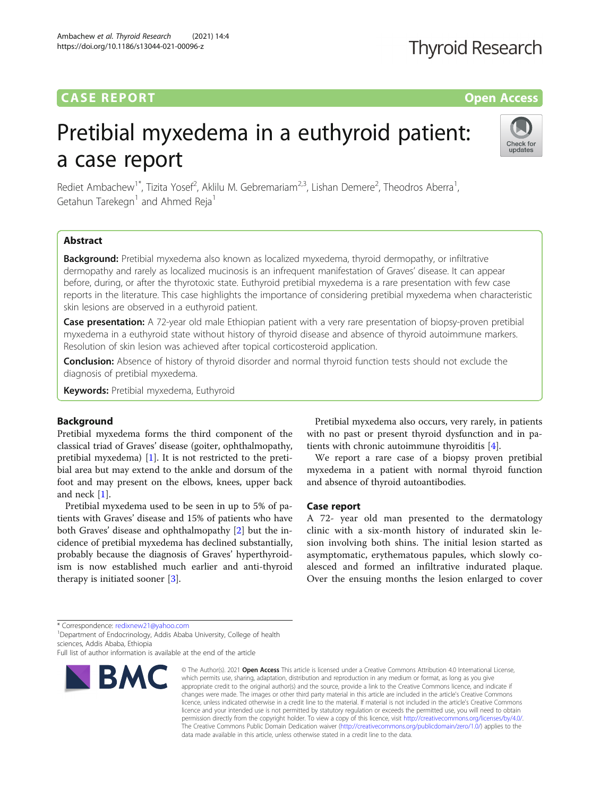### **CASE REPORT CASE REPORT CASE REPORT**

## **Thyroid Research**

# Pretibial myxedema in a euthyroid patient: a case report



Rediet Ambachew<sup>1\*</sup>, Tizita Yosef<sup>2</sup>, Aklilu M. Gebremariam<sup>2,3</sup>, Lishan Demere<sup>2</sup>, Theodros Aberra<sup>1</sup> , Getahun Tarekegn<sup>1</sup> and Ahmed Reja<sup>1</sup>

#### Abstract

Background: Pretibial myxedema also known as localized myxedema, thyroid dermopathy, or infiltrative dermopathy and rarely as localized mucinosis is an infrequent manifestation of Graves' disease. It can appear before, during, or after the thyrotoxic state. Euthyroid pretibial myxedema is a rare presentation with few case reports in the literature. This case highlights the importance of considering pretibial myxedema when characteristic skin lesions are observed in a euthyroid patient.

Case presentation: A 72-year old male Ethiopian patient with a very rare presentation of biopsy-proven pretibial myxedema in a euthyroid state without history of thyroid disease and absence of thyroid autoimmune markers. Resolution of skin lesion was achieved after topical corticosteroid application.

Conclusion: Absence of history of thyroid disorder and normal thyroid function tests should not exclude the diagnosis of pretibial myxedema.

Keywords: Pretibial myxedema, Euthyroid

#### Background

Pretibial myxedema forms the third component of the classical triad of Graves' disease (goiter, ophthalmopathy, pretibial myxedema) [[1](#page-3-0)]. It is not restricted to the pretibial area but may extend to the ankle and dorsum of the foot and may present on the elbows, knees, upper back and neck [[1\]](#page-3-0).

Pretibial myxedema used to be seen in up to 5% of patients with Graves' disease and 15% of patients who have both Graves' disease and ophthalmopathy [[2\]](#page-3-0) but the incidence of pretibial myxedema has declined substantially, probably because the diagnosis of Graves' hyperthyroidism is now established much earlier and anti-thyroid therapy is initiated sooner [[3](#page-3-0)].

Pretibial myxedema also occurs, very rarely, in patients with no past or present thyroid dysfunction and in patients with chronic autoimmune thyroiditis [\[4](#page-3-0)].

We report a rare case of a biopsy proven pretibial myxedema in a patient with normal thyroid function and absence of thyroid autoantibodies.

#### Case report

A 72- year old man presented to the dermatology clinic with a six-month history of indurated skin lesion involving both shins. The initial lesion started as asymptomatic, erythematous papules, which slowly coalesced and formed an infiltrative indurated plaque. Over the ensuing months the lesion enlarged to cover

# BMC

<sup>\*</sup> Correspondence: [redixnew21@yahoo.com](mailto:redixnew21@yahoo.com) <sup>1</sup>

<sup>&</sup>lt;sup>1</sup> Department of Endocrinology, Addis Ababa University, College of health sciences, Addis Ababa, Ethiopia

Full list of author information is available at the end of the article

<sup>©</sup> The Author(s), 2021 **Open Access** This article is licensed under a Creative Commons Attribution 4.0 International License, which permits use, sharing, adaptation, distribution and reproduction in any medium or format, as long as you give appropriate credit to the original author(s) and the source, provide a link to the Creative Commons licence, and indicate if changes were made. The images or other third party material in this article are included in the article's Creative Commons licence, unless indicated otherwise in a credit line to the material. If material is not included in the article's Creative Commons licence and your intended use is not permitted by statutory regulation or exceeds the permitted use, you will need to obtain permission directly from the copyright holder. To view a copy of this licence, visit [http://creativecommons.org/licenses/by/4.0/.](http://creativecommons.org/licenses/by/4.0/) The Creative Commons Public Domain Dedication waiver [\(http://creativecommons.org/publicdomain/zero/1.0/](http://creativecommons.org/publicdomain/zero/1.0/)) applies to the data made available in this article, unless otherwise stated in a credit line to the data.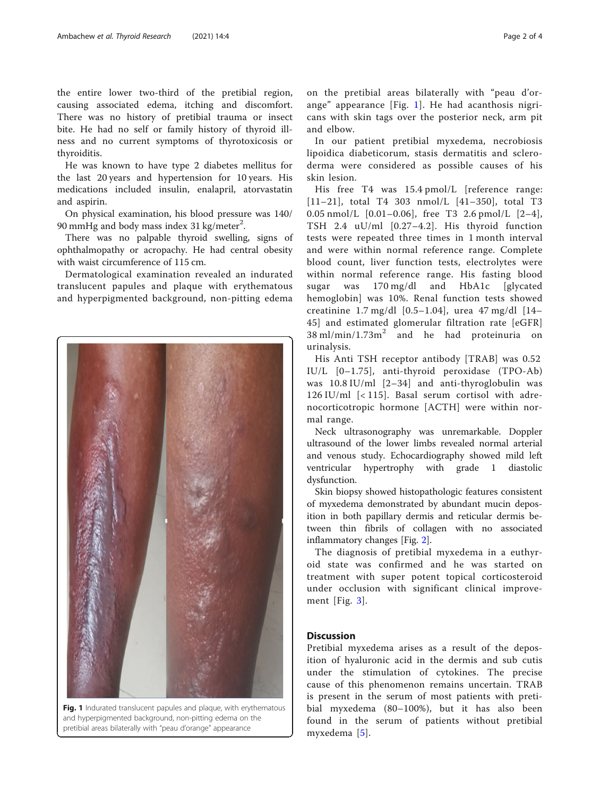the entire lower two-third of the pretibial region, causing associated edema, itching and discomfort. There was no history of pretibial trauma or insect bite. He had no self or family history of thyroid illness and no current symptoms of thyrotoxicosis or thyroiditis.

He was known to have type 2 diabetes mellitus for the last 20 years and hypertension for 10 years. His medications included insulin, enalapril, atorvastatin and aspirin.

On physical examination, his blood pressure was 140/ 90 mmHg and body mass index 31 kg/meter<sup>2</sup>.

There was no palpable thyroid swelling, signs of ophthalmopathy or acropachy. He had central obesity with waist circumference of 115 cm.

Dermatological examination revealed an indurated translucent papules and plaque with erythematous and hyperpigmented background, non-pitting edema



Fig. 1 Indurated translucent papules and plaque, with erythematous and hyperpigmented background, non-pitting edema on the pretibial areas bilaterally with "peau d'orange" appearance

on the pretibial areas bilaterally with "peau d'orange" appearance [Fig. 1]. He had acanthosis nigricans with skin tags over the posterior neck, arm pit and elbow.

In our patient pretibial myxedema, necrobiosis lipoidica diabeticorum, stasis dermatitis and scleroderma were considered as possible causes of his skin lesion.

His free T4 was 15.4 pmol/L [reference range: [11–21], total T4 303 nmol/L [41–350], total T3 0.05 nmol/L [0.01–0.06], free T3 2.6 pmol/L [2–4], TSH 2.4 uU/ml [0.27–4.2]. His thyroid function tests were repeated three times in 1 month interval and were within normal reference range. Complete blood count, liver function tests, electrolytes were within normal reference range. His fasting blood sugar was 170 mg/dl and HbA1c [glycated hemoglobin] was 10%. Renal function tests showed creatinine 1.7 mg/dl [0.5–1.04], urea 47 mg/dl [14– 45] and estimated glomerular filtration rate [eGFR]  $38 \text{ ml/min}/1.73 \text{ m}^2$  and he had proteinuria on urinalysis.

His Anti TSH receptor antibody [TRAB] was 0.52 IU/L [0–1.75], anti-thyroid peroxidase (TPO-Ab) was 10.8 IU/ml [2–34] and anti-thyroglobulin was 126 IU/ml [< 115]. Basal serum cortisol with adrenocorticotropic hormone [ACTH] were within normal range.

Neck ultrasonography was unremarkable. Doppler ultrasound of the lower limbs revealed normal arterial and venous study. Echocardiography showed mild left ventricular hypertrophy with grade 1 diastolic dysfunction.

Skin biopsy showed histopathologic features consistent of myxedema demonstrated by abundant mucin deposition in both papillary dermis and reticular dermis between thin fibrils of collagen with no associated inflammatory changes [Fig. [2](#page-2-0)].

The diagnosis of pretibial myxedema in a euthyroid state was confirmed and he was started on treatment with super potent topical corticosteroid under occlusion with significant clinical improvement [Fig. [3](#page-3-0)].

#### Discussion

Pretibial myxedema arises as a result of the deposition of hyaluronic acid in the dermis and sub cutis under the stimulation of cytokines. The precise cause of this phenomenon remains uncertain. TRAB is present in the serum of most patients with pretibial myxedema (80–100%), but it has also been found in the serum of patients without pretibial myxedema [[5\]](#page-3-0).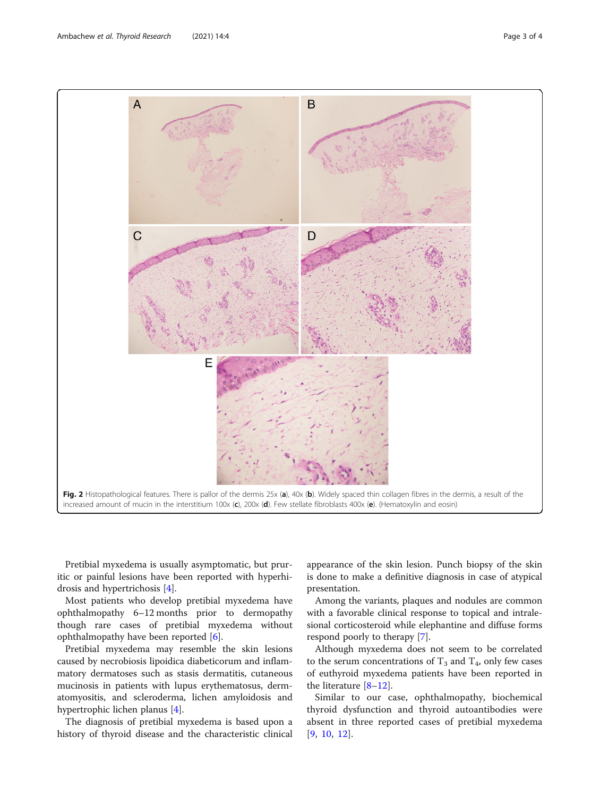Pretibial myxedema is usually asymptomatic, but pruritic or painful lesions have been reported with hyperhidrosis and hypertrichosis [\[4](#page-3-0)].

Most patients who develop pretibial myxedema have ophthalmopathy 6–12 months prior to dermopathy though rare cases of pretibial myxedema without ophthalmopathy have been reported [\[6](#page-3-0)].

Pretibial myxedema may resemble the skin lesions caused by necrobiosis lipoidica diabeticorum and inflammatory dermatoses such as stasis dermatitis, cutaneous mucinosis in patients with lupus erythematosus, dermatomyositis, and scleroderma, lichen amyloidosis and hypertrophic lichen planus [\[4](#page-3-0)].

The diagnosis of pretibial myxedema is based upon a history of thyroid disease and the characteristic clinical appearance of the skin lesion. Punch biopsy of the skin is done to make a definitive diagnosis in case of atypical presentation.

Among the variants, plaques and nodules are common with a favorable clinical response to topical and intralesional corticosteroid while elephantine and diffuse forms respond poorly to therapy [\[7](#page-3-0)].

Although myxedema does not seem to be correlated to the serum concentrations of  $T_3$  and  $T_4$ , only few cases of euthyroid myxedema patients have been reported in the literature  $[8-12]$  $[8-12]$  $[8-12]$  $[8-12]$ .

Similar to our case, ophthalmopathy, biochemical thyroid dysfunction and thyroid autoantibodies were absent in three reported cases of pretibial myxedema [[9](#page-3-0), [10](#page-3-0), [12](#page-3-0)].

<span id="page-2-0"></span>